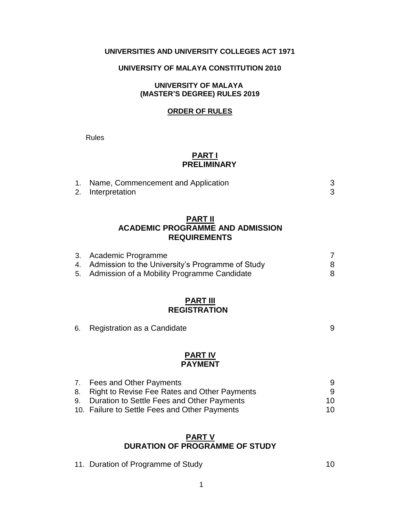# **UNIVERSITIES AND UNIVERSITY COLLEGES ACT 1971**

#### **UNIVERSITY OF MALAYA CONSTITUTION 2010**

### **UNIVERSITY OF MALAYA (MASTER'S DEGREE) RULES 2019**

#### **ORDER OF RULES**

Rules

### **PART I PRELIMINARY**

| 1. Name, Commencement and Application |  |
|---------------------------------------|--|
| 2. Interpretation                     |  |

## **PART II ACADEMIC PROGRAMME AND ADMISSION REQUIREMENTS**

| 3. Academic Programme                               |  |
|-----------------------------------------------------|--|
| 4. Admission to the University's Programme of Study |  |
| 5. Admission of a Mobility Programme Candidate      |  |

# **PART III REGISTRATION**

6. Registration as a Candidate extending the state of  $\overline{9}$ 

### **PART IV PAYMENT**

| 7. Fees and Other Payments                      | 9.  |
|-------------------------------------------------|-----|
| 8. Right to Revise Fee Rates and Other Payments | 9   |
| 9. Duration to Settle Fees and Other Payments   | 10. |
| 10. Failure to Settle Fees and Other Payments   | 10. |

# **PART V DURATION OF PROGRAMME OF STUDY**

11. Duration of Programme of Study 10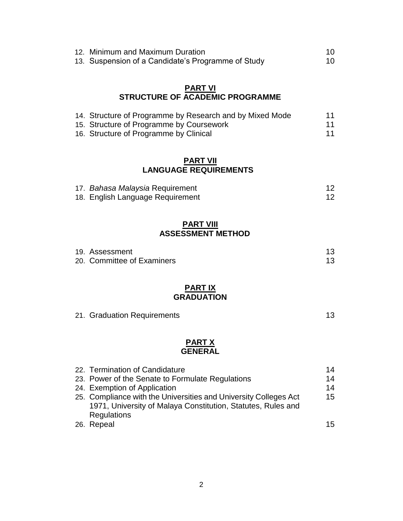| 12. Minimum and Maximum Duration                   | 10. |
|----------------------------------------------------|-----|
| 13. Suspension of a Candidate's Programme of Study | 10  |

# **PART VI STRUCTURE OF ACADEMIC PROGRAMME**

| 14. Structure of Programme by Research and by Mixed Mode | 11 |
|----------------------------------------------------------|----|
| 15. Structure of Programme by Coursework                 | 11 |
| 16. Structure of Programme by Clinical                   | 11 |

## **PART VII LANGUAGE REQUIREMENTS**

| 17. Bahasa Malaysia Requirement  |  |
|----------------------------------|--|
| 18. English Language Requirement |  |

# **PART VIII ASSESSMENT METHOD**

| 19. Assessment             |  |
|----------------------------|--|
| 20. Committee of Examiners |  |

# **PART IX GRADUATION**

|  | 21. Graduation Requirements |  |
|--|-----------------------------|--|
|  |                             |  |

### **PART X GENERAL**

| 22. Termination of Candidature                                   | 14 |
|------------------------------------------------------------------|----|
| 23. Power of the Senate to Formulate Regulations                 | 14 |
| 24. Exemption of Application                                     | 14 |
| 25. Compliance with the Universities and University Colleges Act | 15 |
| 1971, University of Malaya Constitution, Statutes, Rules and     |    |
| Regulations                                                      |    |
| 26. Repeal                                                       | 15 |
|                                                                  |    |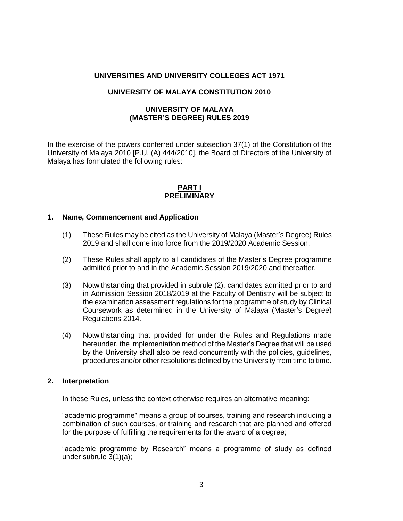### **UNIVERSITIES AND UNIVERSITY COLLEGES ACT 1971**

#### **UNIVERSITY OF MALAYA CONSTITUTION 2010**

### **UNIVERSITY OF MALAYA (MASTER'S DEGREE) RULES 2019**

In the exercise of the powers conferred under subsection 37(1) of the Constitution of the University of Malaya 2010 [P.U. (A) 444/2010], the Board of Directors of the University of Malaya has formulated the following rules:

#### **PART I PRELIMINARY**

#### **1. Name, Commencement and Application**

- (1) These Rules may be cited as the University of Malaya (Master's Degree) Rules 2019 and shall come into force from the 2019/2020 Academic Session.
- (2) These Rules shall apply to all candidates of the Master's Degree programme admitted prior to and in the Academic Session 2019/2020 and thereafter.
- (3) Notwithstanding that provided in subrule (2), candidates admitted prior to and in Admission Session 2018/2019 at the Faculty of Dentistry will be subject to the examination assessment regulations for the programme of study by Clinical Coursework as determined in the University of Malaya (Master's Degree) Regulations 2014.
- (4) Notwithstanding that provided for under the Rules and Regulations made hereunder, the implementation method of the Master's Degree that will be used by the University shall also be read concurrently with the policies, guidelines, procedures and/or other resolutions defined by the University from time to time.

#### **2. Interpretation**

In these Rules, unless the context otherwise requires an alternative meaning:

"academic programme" means a group of courses, training and research including a combination of such courses, or training and research that are planned and offered for the purpose of fulfilling the requirements for the award of a degree;

"academic programme by Research" means a programme of study as defined under subrule 3(1)(a);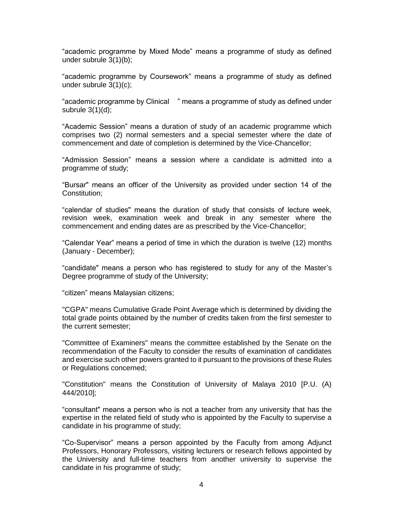"academic programme by Mixed Mode" means a programme of study as defined under subrule 3(1)(b);

"academic programme by Coursework" means a programme of study as defined under subrule 3(1)(c);

"academic programme by Clinical " means a programme of study as defined under subrule  $3(1)(d)$ ;

"Academic Session" means a duration of study of an academic programme which comprises two (2) normal semesters and a special semester where the date of commencement and date of completion is determined by the Vice-Chancellor;

"Admission Session" means a session where a candidate is admitted into a programme of study;

"Bursar" means an officer of the University as provided under section 14 of the Constitution;

"calendar of studies" means the duration of study that consists of lecture week, revision week, examination week and break in any semester where the commencement and ending dates are as prescribed by the Vice-Chancellor;

"Calendar Year" means a period of time in which the duration is twelve (12) months (January - December);

"candidate" means a person who has registered to study for any of the Master's Degree programme of study of the University;

"citizen" means Malaysian citizens;

"CGPA" means Cumulative Grade Point Average which is determined by dividing the total grade points obtained by the number of credits taken from the first semester to the current semester;

"Committee of Examiners" means the committee established by the Senate on the recommendation of the Faculty to consider the results of examination of candidates and exercise such other powers granted to it pursuant to the provisions of these Rules or Regulations concerned;

"Constitution" means the Constitution of University of Malaya 2010 [P.U. (A) 444/2010];

"consultant" means a person who is not a teacher from any university that has the expertise in the related field of study who is appointed by the Faculty to supervise a candidate in his programme of study;

"Co-Supervisor" means a person appointed by the Faculty from among Adjunct Professors, Honorary Professors, visiting lecturers or research fellows appointed by the University and full-time teachers from another university to supervise the candidate in his programme of study;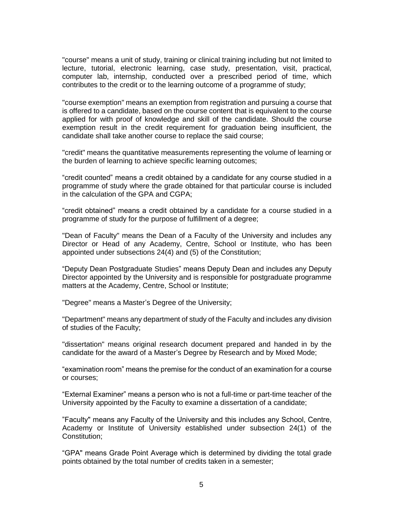"course" means a unit of study, training or clinical training including but not limited to lecture, tutorial, electronic learning, case study, presentation, visit, practical, computer lab, internship, conducted over a prescribed period of time, which contributes to the credit or to the learning outcome of a programme of study;

"course exemption" means an exemption from registration and pursuing a course that is offered to a candidate, based on the course content that is equivalent to the course applied for with proof of knowledge and skill of the candidate. Should the course exemption result in the credit requirement for graduation being insufficient, the candidate shall take another course to replace the said course;

"credit" means the quantitative measurements representing the volume of learning or the burden of learning to achieve specific learning outcomes;

"credit counted" means a credit obtained by a candidate for any course studied in a programme of study where the grade obtained for that particular course is included in the calculation of the GPA and CGPA;

"credit obtained" means a credit obtained by a candidate for a course studied in a programme of study for the purpose of fulfillment of a degree;

"Dean of Faculty" means the Dean of a Faculty of the University and includes any Director or Head of any Academy, Centre, School or Institute, who has been appointed under subsections 24(4) and (5) of the Constitution;

"Deputy Dean Postgraduate Studies" means Deputy Dean and includes any Deputy Director appointed by the University and is responsible for postgraduate programme matters at the Academy, Centre, School or Institute;

"Degree" means a Master's Degree of the University;

"Department" means any department of study of the Faculty and includes any division of studies of the Faculty;

"dissertation" means original research document prepared and handed in by the candidate for the award of a Master's Degree by Research and by Mixed Mode;

"examination room" means the premise for the conduct of an examination for a course or courses;

"External Examiner" means a person who is not a full-time or part-time teacher of the University appointed by the Faculty to examine a dissertation of a candidate;

"Faculty" means any Faculty of the University and this includes any School, Centre, Academy or Institute of University established under subsection 24(1) of the Constitution;

"GPA" means Grade Point Average which is determined by dividing the total grade points obtained by the total number of credits taken in a semester;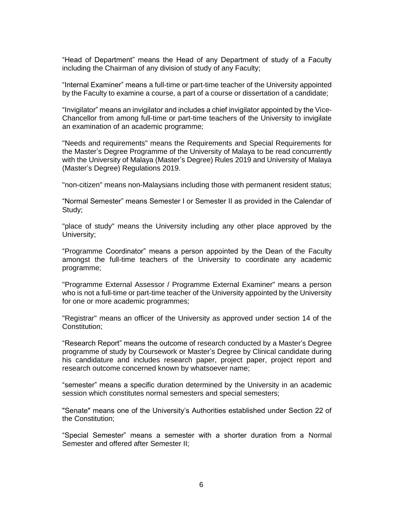"Head of Department" means the Head of any Department of study of a Faculty including the Chairman of any division of study of any Faculty;

"Internal Examiner" means a full-time or part-time teacher of the University appointed by the Faculty to examine a course, a part of a course or dissertation of a candidate;

"Invigilator" means an invigilator and includes a chief invigilator appointed by the Vice-Chancellor from among full-time or part-time teachers of the University to invigilate an examination of an academic programme;

"Needs and requirements" means the Requirements and Special Requirements for the Master's Degree Programme of the University of Malaya to be read concurrently with the University of Malaya (Master's Degree) Rules 2019 and University of Malaya (Master's Degree) Regulations 2019.

"non-citizen" means non-Malaysians including those with permanent resident status;

"Normal Semester" means Semester I or Semester II as provided in the Calendar of Study;

"place of study" means the University including any other place approved by the University;

"Programme Coordinator" means a person appointed by the Dean of the Faculty amongst the full-time teachers of the University to coordinate any academic programme;

"Programme External Assessor / Programme External Examiner" means a person who is not a full-time or part-time teacher of the University appointed by the University for one or more academic programmes;

"Registrar" means an officer of the University as approved under section 14 of the Constitution;

"Research Report" means the outcome of research conducted by a Master's Degree programme of study by Coursework or Master's Degree by Clinical candidate during his candidature and includes research paper, project paper, project report and research outcome concerned known by whatsoever name;

"semester" means a specific duration determined by the University in an academic session which constitutes normal semesters and special semesters;

"Senate" means one of the University's Authorities established under Section 22 of the Constitution;

"Special Semester" means a semester with a shorter duration from a Normal Semester and offered after Semester II;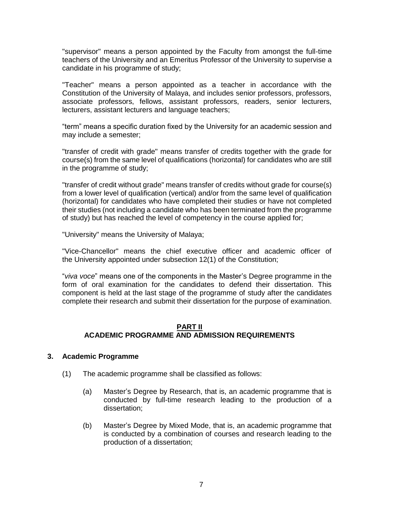"supervisor" means a person appointed by the Faculty from amongst the full-time teachers of the University and an Emeritus Professor of the University to supervise a candidate in his programme of study;

"Teacher" means a person appointed as a teacher in accordance with the Constitution of the University of Malaya, and includes senior professors, professors, associate professors, fellows, assistant professors, readers, senior lecturers, lecturers, assistant lecturers and language teachers;

"term" means a specific duration fixed by the University for an academic session and may include a semester;

"transfer of credit with grade" means transfer of credits together with the grade for course(s) from the same level of qualifications (horizontal) for candidates who are still in the programme of study;

"transfer of credit without grade" means transfer of credits without grade for course(s) from a lower level of qualification (vertical) and/or from the same level of qualification (horizontal) for candidates who have completed their studies or have not completed their studies (not including a candidate who has been terminated from the programme of study) but has reached the level of competency in the course applied for;

"University" means the University of Malaya;

"Vice-Chancellor" means the chief executive officer and academic officer of the University appointed under subsection 12(1) of the Constitution;

"*viva voce*" means one of the components in the Master's Degree programme in the form of oral examination for the candidates to defend their dissertation. This component is held at the last stage of the programme of study after the candidates complete their research and submit their dissertation for the purpose of examination.

#### **PART II ACADEMIC PROGRAMME AND ADMISSION REQUIREMENTS**

#### **3. Academic Programme**

- (1) The academic programme shall be classified as follows:
	- (a) Master's Degree by Research, that is, an academic programme that is conducted by full-time research leading to the production of a dissertation;
	- (b) Master's Degree by Mixed Mode, that is, an academic programme that is conducted by a combination of courses and research leading to the production of a dissertation;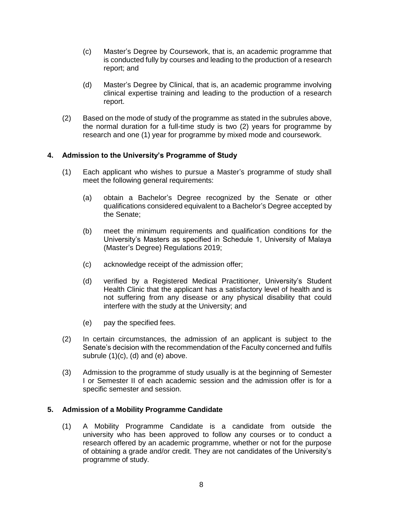- (c) Master's Degree by Coursework, that is, an academic programme that is conducted fully by courses and leading to the production of a research report; and
- (d) Master's Degree by Clinical, that is, an academic programme involving clinical expertise training and leading to the production of a research report.
- (2) Based on the mode of study of the programme as stated in the subrules above, the normal duration for a full-time study is two (2) years for programme by research and one (1) year for programme by mixed mode and coursework.

### **4. Admission to the University's Programme of Study**

- (1) Each applicant who wishes to pursue a Master's programme of study shall meet the following general requirements:
	- (a) obtain a Bachelor's Degree recognized by the Senate or other qualifications considered equivalent to a Bachelor's Degree accepted by the Senate;
	- (b) meet the minimum requirements and qualification conditions for the University's Masters as specified in Schedule 1, University of Malaya (Master's Degree) Regulations 2019;
	- (c) acknowledge receipt of the admission offer;
	- (d) verified by a Registered Medical Practitioner, University's Student Health Clinic that the applicant has a satisfactory level of health and is not suffering from any disease or any physical disability that could interfere with the study at the University; and
	- (e) pay the specified fees.
- (2) In certain circumstances, the admission of an applicant is subject to the Senate's decision with the recommendation of the Faculty concerned and fulfils subrule  $(1)(c)$ ,  $(d)$  and  $(e)$  above.
- (3) Admission to the programme of study usually is at the beginning of Semester I or Semester II of each academic session and the admission offer is for a specific semester and session.

### **5. Admission of a Mobility Programme Candidate**

(1) A Mobility Programme Candidate is a candidate from outside the university who has been approved to follow any courses or to conduct a research offered by an academic programme, whether or not for the purpose of obtaining a grade and/or credit. They are not candidates of the University's programme of study.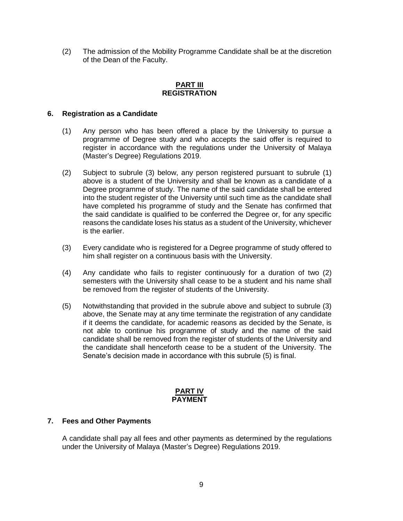(2) The admission of the Mobility Programme Candidate shall be at the discretion of the Dean of the Faculty.

### **PART III REGISTRATION**

### **6. Registration as a Candidate**

- (1) Any person who has been offered a place by the University to pursue a programme of Degree study and who accepts the said offer is required to register in accordance with the regulations under the University of Malaya (Master's Degree) Regulations 2019.
- (2) Subject to subrule (3) below, any person registered pursuant to subrule (1) above is a student of the University and shall be known as a candidate of a Degree programme of study. The name of the said candidate shall be entered into the student register of the University until such time as the candidate shall have completed his programme of study and the Senate has confirmed that the said candidate is qualified to be conferred the Degree or, for any specific reasons the candidate loses his status as a student of the University, whichever is the earlier.
- (3) Every candidate who is registered for a Degree programme of study offered to him shall register on a continuous basis with the University.
- (4) Any candidate who fails to register continuously for a duration of two (2) semesters with the University shall cease to be a student and his name shall be removed from the register of students of the University.
- (5) Notwithstanding that provided in the subrule above and subject to subrule (3) above, the Senate may at any time terminate the registration of any candidate if it deems the candidate, for academic reasons as decided by the Senate, is not able to continue his programme of study and the name of the said candidate shall be removed from the register of students of the University and the candidate shall henceforth cease to be a student of the University. The Senate's decision made in accordance with this subrule (5) is final.

#### **PART IV PAYMENT**

#### **7. Fees and Other Payments**

A candidate shall pay all fees and other payments as determined by the regulations under the University of Malaya (Master's Degree) Regulations 2019.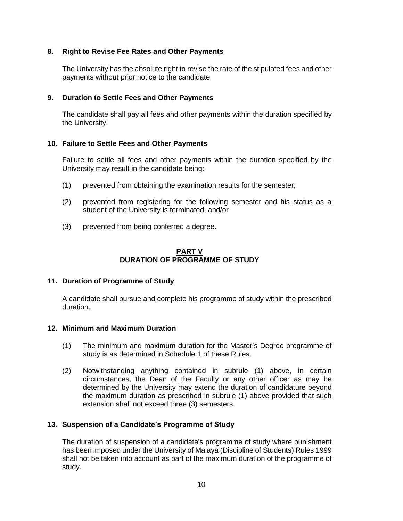## **8. Right to Revise Fee Rates and Other Payments**

The University has the absolute right to revise the rate of the stipulated fees and other payments without prior notice to the candidate.

### **9. Duration to Settle Fees and Other Payments**

The candidate shall pay all fees and other payments within the duration specified by the University.

### **10. Failure to Settle Fees and Other Payments**

Failure to settle all fees and other payments within the duration specified by the University may result in the candidate being:

- (1) prevented from obtaining the examination results for the semester;
- (2) prevented from registering for the following semester and his status as a student of the University is terminated; and/or
- (3) prevented from being conferred a degree.

### **PART V DURATION OF PROGRAMME OF STUDY**

#### **11. Duration of Programme of Study**

A candidate shall pursue and complete his programme of study within the prescribed duration.

#### **12. Minimum and Maximum Duration**

- (1) The minimum and maximum duration for the Master's Degree programme of study is as determined in Schedule 1 of these Rules.
- (2) Notwithstanding anything contained in subrule (1) above, in certain circumstances, the Dean of the Faculty or any other officer as may be determined by the University may extend the duration of candidature beyond the maximum duration as prescribed in subrule (1) above provided that such extension shall not exceed three (3) semesters.

### **13. Suspension of a Candidate's Programme of Study**

The duration of suspension of a candidate's programme of study where punishment has been imposed under the University of Malaya (Discipline of Students) Rules 1999 shall not be taken into account as part of the maximum duration of the programme of study.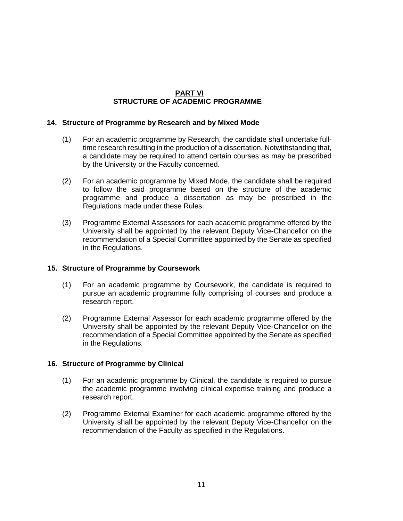# **PART VI STRUCTURE OF ACADEMIC PROGRAMME**

### **14. Structure of Programme by Research and by Mixed Mode**

- (1) For an academic programme by Research, the candidate shall undertake fulltime research resulting in the production of a dissertation. Notwithstanding that, a candidate may be required to attend certain courses as may be prescribed by the University or the Faculty concerned.
- (2) For an academic programme by Mixed Mode, the candidate shall be required to follow the said programme based on the structure of the academic programme and produce a dissertation as may be prescribed in the Regulations made under these Rules.
- (3) Programme External Assessors for each academic programme offered by the University shall be appointed by the relevant Deputy Vice-Chancellor on the recommendation of a Special Committee appointed by the Senate as specified in the Regulations.

#### **15. Structure of Programme by Coursework**

- (1) For an academic programme by Coursework, the candidate is required to pursue an academic programme fully comprising of courses and produce a research report.
- (2) Programme External Assessor for each academic programme offered by the University shall be appointed by the relevant Deputy Vice-Chancellor on the recommendation of a Special Committee appointed by the Senate as specified in the Regulations.

#### **16. Structure of Programme by Clinical**

- (1) For an academic programme by Clinical, the candidate is required to pursue the academic programme involving clinical expertise training and produce a research report.
- (2) Programme External Examiner for each academic programme offered by the University shall be appointed by the relevant Deputy Vice-Chancellor on the recommendation of the Faculty as specified in the Regulations.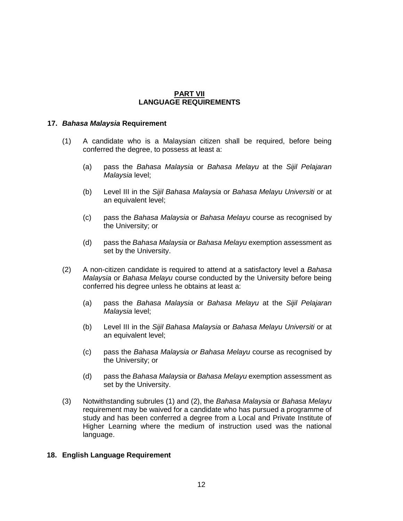### **PART VII LANGUAGE REQUIREMENTS**

### **17.** *Bahasa Malaysia* **Requirement**

- (1) A candidate who is a Malaysian citizen shall be required, before being conferred the degree, to possess at least a:
	- (a) pass the *Bahasa Malaysia* or *Bahasa Melayu* at the *Sijil Pelajaran Malaysia* level;
	- (b) Level III in the *Sijil Bahasa Malaysia* or *Bahasa Melayu Universiti* or at an equivalent level;
	- (c) pass the *Bahasa Malaysia* or *Bahasa Melayu* course as recognised by the University; or
	- (d) pass the *Bahasa Malaysia* or *Bahasa Melayu* exemption assessment as set by the University.
- (2) A non-citizen candidate is required to attend at a satisfactory level a *Bahasa Malaysia* or *Bahasa Melayu* course conducted by the University before being conferred his degree unless he obtains at least a:
	- (a) pass the *Bahasa Malaysia* or *Bahasa Melayu* at the *Sijil Pelajaran Malaysia* level;
	- (b) Level III in the *Sijil Bahasa Malaysia* or *Bahasa Melayu Universiti* or at an equivalent level;
	- (c) pass the *Bahasa Malaysia or Bahasa Melayu* course as recognised by the University; or
	- (d) pass the *Bahasa Malaysia* or *Bahasa Melayu* exemption assessment as set by the University.
- (3) Notwithstanding subrules (1) and (2), the *Bahasa Malaysia* or *Bahasa Melayu* requirement may be waived for a candidate who has pursued a programme of study and has been conferred a degree from a Local and Private Institute of Higher Learning where the medium of instruction used was the national language.

#### **18. English Language Requirement**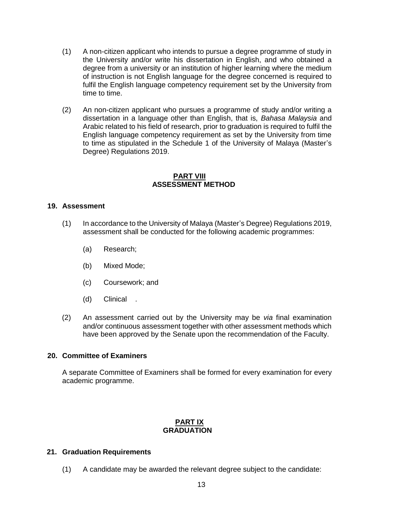- (1) A non-citizen applicant who intends to pursue a degree programme of study in the University and/or write his dissertation in English, and who obtained a degree from a university or an institution of higher learning where the medium of instruction is not English language for the degree concerned is required to fulfil the English language competency requirement set by the University from time to time.
- (2) An non-citizen applicant who pursues a programme of study and/or writing a dissertation in a language other than English, that is, *Bahasa Malaysia* and Arabic related to his field of research, prior to graduation is required to fulfil the English language competency requirement as set by the University from time to time as stipulated in the Schedule 1 of the University of Malaya (Master's Degree) Regulations 2019.

#### **PART VIII ASSESSMENT METHOD**

### **19. Assessment**

- (1) In accordance to the University of Malaya (Master's Degree) Regulations 2019, assessment shall be conducted for the following academic programmes:
	- (a) Research;
	- (b) Mixed Mode;
	- (c) Coursework; and
	- (d) Clinical .
- (2) An assessment carried out by the University may be *via* final examination and/or continuous assessment together with other assessment methods which have been approved by the Senate upon the recommendation of the Faculty.

#### **20. Committee of Examiners**

A separate Committee of Examiners shall be formed for every examination for every academic programme.

### **PART IX GRADUATION**

#### **21. Graduation Requirements**

(1) A candidate may be awarded the relevant degree subject to the candidate: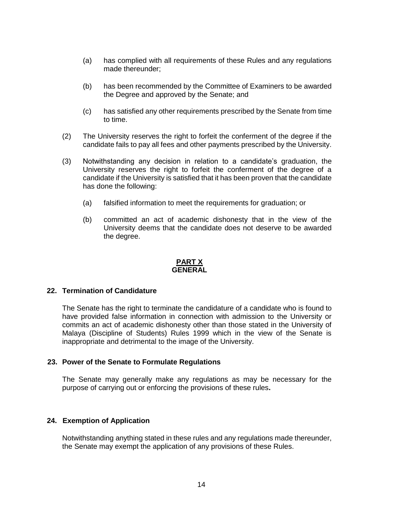- (a) has complied with all requirements of these Rules and any regulations made thereunder;
- (b) has been recommended by the Committee of Examiners to be awarded the Degree and approved by the Senate; and
- (c) has satisfied any other requirements prescribed by the Senate from time to time.
- (2) The University reserves the right to forfeit the conferment of the degree if the candidate fails to pay all fees and other payments prescribed by the University.
- (3) Notwithstanding any decision in relation to a candidate's graduation, the University reserves the right to forfeit the conferment of the degree of a candidate if the University is satisfied that it has been proven that the candidate has done the following:
	- (a) falsified information to meet the requirements for graduation; or
	- (b) committed an act of academic dishonesty that in the view of the University deems that the candidate does not deserve to be awarded the degree.

#### **PART X GENERAL**

#### **22. Termination of Candidature**

The Senate has the right to terminate the candidature of a candidate who is found to have provided false information in connection with admission to the University or commits an act of academic dishonesty other than those stated in the University of Malaya (Discipline of Students) Rules 1999 which in the view of the Senate is inappropriate and detrimental to the image of the University.

#### **23. Power of the Senate to Formulate Regulations**

The Senate may generally make any regulations as may be necessary for the purpose of carrying out or enforcing the provisions of these rules**.**

#### **24. Exemption of Application**

Notwithstanding anything stated in these rules and any regulations made thereunder, the Senate may exempt the application of any provisions of these Rules.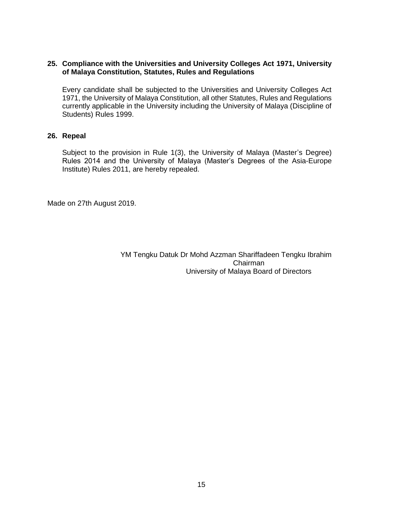### **25. Compliance with the Universities and University Colleges Act 1971, University of Malaya Constitution, Statutes, Rules and Regulations**

Every candidate shall be subjected to the Universities and University Colleges Act 1971, the University of Malaya Constitution, all other Statutes, Rules and Regulations currently applicable in the University including the University of Malaya (Discipline of Students) Rules 1999.

# **26. Repeal**

Subject to the provision in Rule 1(3), the University of Malaya (Master's Degree) Rules 2014 and the University of Malaya (Master's Degrees of the Asia-Europe Institute) Rules 2011, are hereby repealed.

Made on 27th August 2019.

 YM Tengku Datuk Dr Mohd Azzman Shariffadeen Tengku Ibrahim Chairman University of Malaya Board of Directors